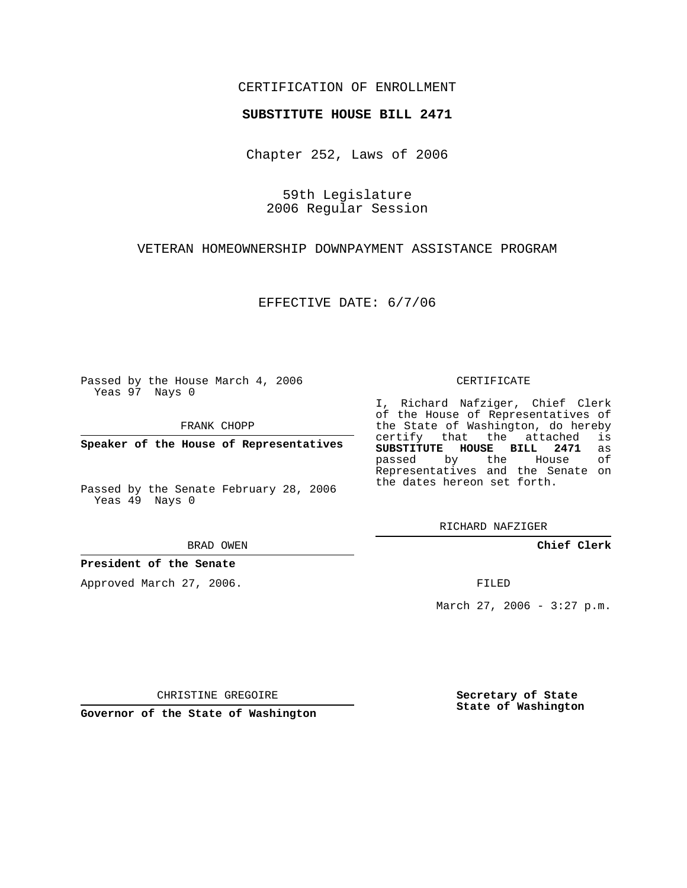## CERTIFICATION OF ENROLLMENT

#### **SUBSTITUTE HOUSE BILL 2471**

Chapter 252, Laws of 2006

59th Legislature 2006 Regular Session

VETERAN HOMEOWNERSHIP DOWNPAYMENT ASSISTANCE PROGRAM

EFFECTIVE DATE: 6/7/06

Passed by the House March 4, 2006 Yeas 97 Nays 0

FRANK CHOPP

**Speaker of the House of Representatives**

Passed by the Senate February 28, 2006 Yeas 49 Nays 0

BRAD OWEN

**President of the Senate**

Approved March 27, 2006.

CERTIFICATE

I, Richard Nafziger, Chief Clerk of the House of Representatives of the State of Washington, do hereby<br>certify that the attached is certify that the attached **SUBSTITUTE HOUSE BILL 2471** as passed by the House Representatives and the Senate on the dates hereon set forth.

RICHARD NAFZIGER

**Chief Clerk**

FILED

March 27, 2006 -  $3:27$  p.m.

CHRISTINE GREGOIRE

**Governor of the State of Washington**

**Secretary of State State of Washington**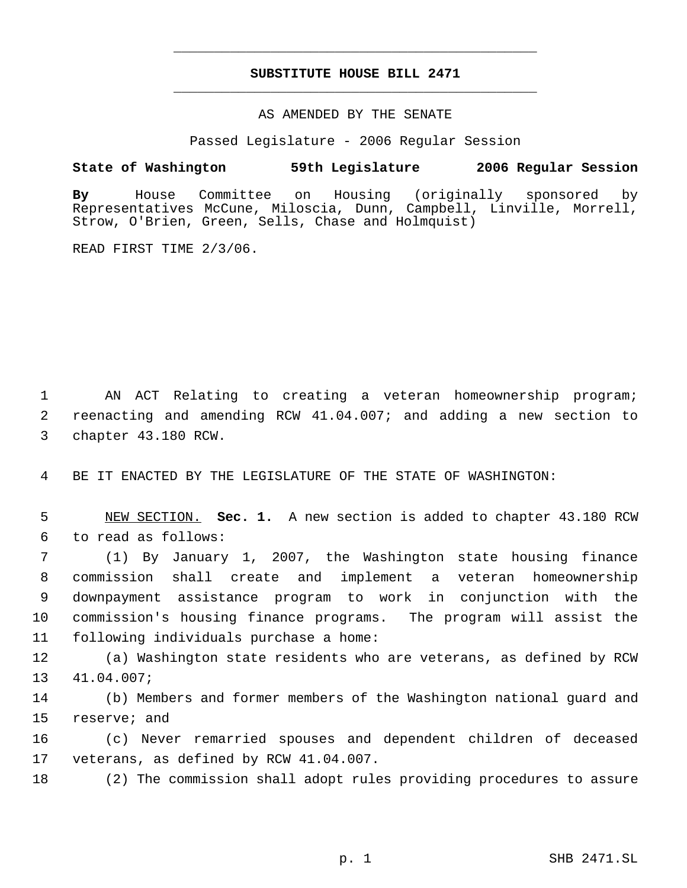# **SUBSTITUTE HOUSE BILL 2471** \_\_\_\_\_\_\_\_\_\_\_\_\_\_\_\_\_\_\_\_\_\_\_\_\_\_\_\_\_\_\_\_\_\_\_\_\_\_\_\_\_\_\_\_\_

\_\_\_\_\_\_\_\_\_\_\_\_\_\_\_\_\_\_\_\_\_\_\_\_\_\_\_\_\_\_\_\_\_\_\_\_\_\_\_\_\_\_\_\_\_

### AS AMENDED BY THE SENATE

Passed Legislature - 2006 Regular Session

### **State of Washington 59th Legislature 2006 Regular Session**

**By** House Committee on Housing (originally sponsored by Representatives McCune, Miloscia, Dunn, Campbell, Linville, Morrell, Strow, O'Brien, Green, Sells, Chase and Holmquist)

READ FIRST TIME 2/3/06.

 AN ACT Relating to creating a veteran homeownership program; reenacting and amending RCW 41.04.007; and adding a new section to chapter 43.180 RCW.

BE IT ENACTED BY THE LEGISLATURE OF THE STATE OF WASHINGTON:

 NEW SECTION. **Sec. 1.** A new section is added to chapter 43.180 RCW to read as follows:

 (1) By January 1, 2007, the Washington state housing finance commission shall create and implement a veteran homeownership downpayment assistance program to work in conjunction with the commission's housing finance programs. The program will assist the following individuals purchase a home:

 (a) Washington state residents who are veterans, as defined by RCW 41.04.007;

 (b) Members and former members of the Washington national guard and reserve; and

 (c) Never remarried spouses and dependent children of deceased veterans, as defined by RCW 41.04.007.

(2) The commission shall adopt rules providing procedures to assure